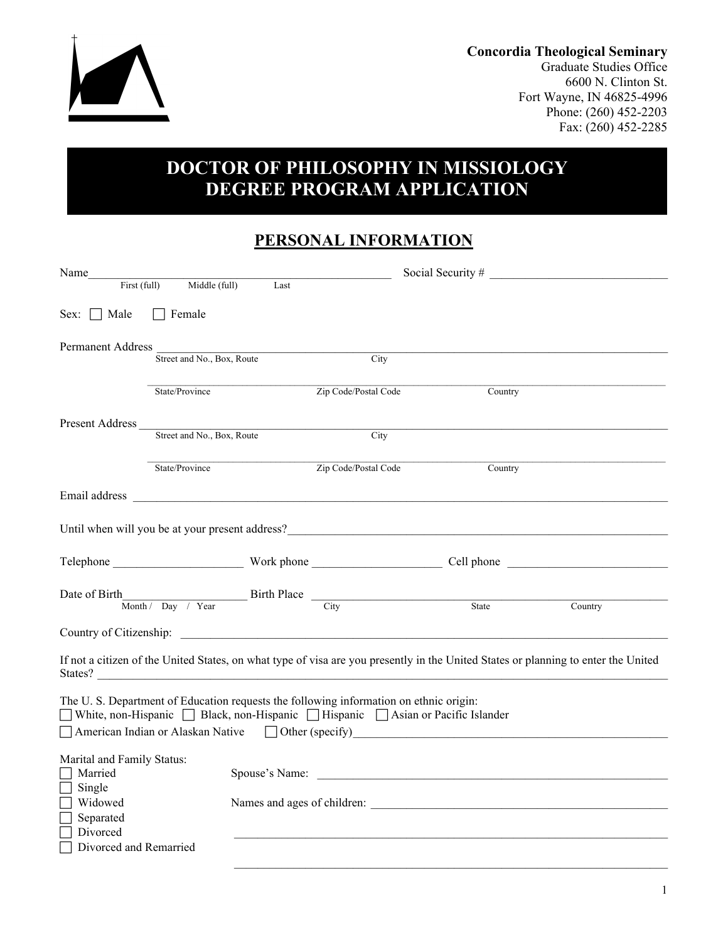

**Concordia Theological Seminary**

Graduate Studies Office 6600 N. Clinton St. Fort Wayne, IN 46825-4996 Phone: (260) 452-2203 Fax: (260) 452-2285

# **DOCTOR OF PHILOSOPHY IN MISSIOLOGY DEGREE PROGRAM APPLICATION**

### **PERSONAL INFORMATION**

|                                                        | First (full)<br>Middle (full) | Last                                                                                                                 |                                                                                                                                                                             |                                                                                                                                                                                                                                |         |
|--------------------------------------------------------|-------------------------------|----------------------------------------------------------------------------------------------------------------------|-----------------------------------------------------------------------------------------------------------------------------------------------------------------------------|--------------------------------------------------------------------------------------------------------------------------------------------------------------------------------------------------------------------------------|---------|
| $Sex: \Box Male$                                       | $\Box$ Female                 |                                                                                                                      |                                                                                                                                                                             |                                                                                                                                                                                                                                |         |
| <b>Permanent Address</b>                               |                               | Street and No., Box, Route                                                                                           | City                                                                                                                                                                        |                                                                                                                                                                                                                                |         |
|                                                        | State/Province                |                                                                                                                      | Zip Code/Postal Code                                                                                                                                                        | Country                                                                                                                                                                                                                        |         |
| Present Address                                        | Street and No., Box, Route    | <u> 1980 - Johann Barn, mars ann an t-Amhain Aonaich an t-Aonaich an t-Aonaich ann an t-Aonaich ann an t-Aonaich</u> | City                                                                                                                                                                        |                                                                                                                                                                                                                                |         |
|                                                        | State/Province                |                                                                                                                      | Zip Code/Postal Code                                                                                                                                                        | Country                                                                                                                                                                                                                        |         |
|                                                        |                               |                                                                                                                      |                                                                                                                                                                             |                                                                                                                                                                                                                                |         |
|                                                        |                               |                                                                                                                      |                                                                                                                                                                             |                                                                                                                                                                                                                                |         |
|                                                        |                               |                                                                                                                      |                                                                                                                                                                             |                                                                                                                                                                                                                                |         |
|                                                        |                               |                                                                                                                      | Date of Birth $\frac{\text{North}}{\text{Month} / \text{Day} / \text{Year}}$ Birth Place $\frac{\text{City}}{\text{City}}$ State                                            |                                                                                                                                                                                                                                | Country |
|                                                        |                               |                                                                                                                      |                                                                                                                                                                             |                                                                                                                                                                                                                                |         |
|                                                        |                               |                                                                                                                      |                                                                                                                                                                             | If not a citizen of the United States, on what type of visa are you presently in the United States or planning to enter the United<br>States?                                                                                  |         |
|                                                        |                               |                                                                                                                      | The U.S. Department of Education requests the following information on ethnic origin:<br>■ White, non-Hispanic ■ Black, non-Hispanic ■ Hispanic ■ Asian or Pacific Islander |                                                                                                                                                                                                                                |         |
| Marital and Family Status:<br>Married<br>$\Box$ Single |                               |                                                                                                                      |                                                                                                                                                                             | Spouse's Name: Name: Name: Name: Name: Name: Name: Name: Name: Name: Name: Name: Name: Name: Name: Name: Name: Name: Name: Name: Name: Name: Name: Name: Name: Name: Name: Name: Name: Name: Name: Name: Name: Name: Name: Nam |         |
| Widowed<br>$\Box$<br>Separated<br>$\Box$ Divorced      |                               |                                                                                                                      |                                                                                                                                                                             |                                                                                                                                                                                                                                |         |
| Divorced and Remarried                                 |                               |                                                                                                                      |                                                                                                                                                                             |                                                                                                                                                                                                                                |         |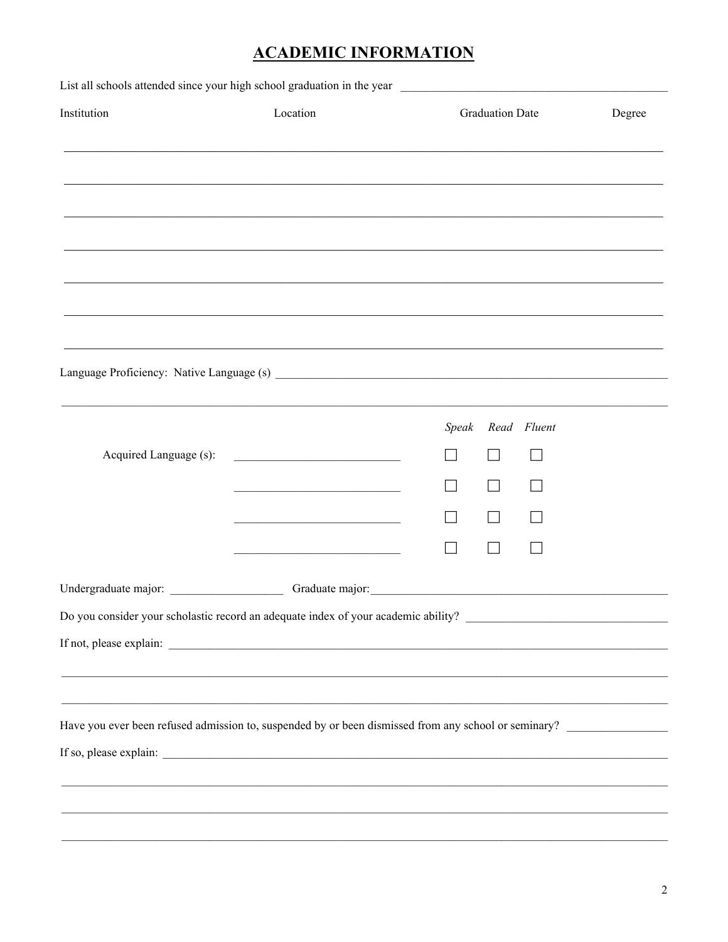## **ACADEMIC INFORMATION**

| Institution                                                                                                                                                                               | Location                                                                                                               | <b>Graduation Date</b> | Degree |
|-------------------------------------------------------------------------------------------------------------------------------------------------------------------------------------------|------------------------------------------------------------------------------------------------------------------------|------------------------|--------|
|                                                                                                                                                                                           | <u> 1999 - Johann John Stone, Amerikaansk politiker (d. 1999)</u>                                                      |                        |        |
|                                                                                                                                                                                           |                                                                                                                        |                        |        |
|                                                                                                                                                                                           |                                                                                                                        |                        |        |
|                                                                                                                                                                                           |                                                                                                                        |                        |        |
|                                                                                                                                                                                           |                                                                                                                        |                        |        |
|                                                                                                                                                                                           |                                                                                                                        |                        |        |
|                                                                                                                                                                                           | ,我们也不能在这里的人,我们也不能在这里的人,我们也不能在这里的人,我们也不能在这里的人,我们也不能在这里的人,我们也不能在这里的人,我们也不能在这里的人,我们也                                      |                        |        |
|                                                                                                                                                                                           |                                                                                                                        |                        |        |
|                                                                                                                                                                                           |                                                                                                                        |                        |        |
|                                                                                                                                                                                           |                                                                                                                        | Read Fluent<br>Speak   |        |
| Acquired Language (s):                                                                                                                                                                    | <u> 1989 - Johann Barn, mars ar breithinn ar breithinn ar breithinn ar breithinn ar breithinn ar breithinn ar br</u>   |                        |        |
|                                                                                                                                                                                           |                                                                                                                        |                        |        |
|                                                                                                                                                                                           | <u> 1989 - Johann Stoff, deutscher Stoffen und der Stoffen und der Stoffen und der Stoffen und der Stoffen und der</u> |                        |        |
|                                                                                                                                                                                           | the control of the control of the control of the control of the control of                                             |                        |        |
|                                                                                                                                                                                           |                                                                                                                        |                        |        |
|                                                                                                                                                                                           |                                                                                                                        |                        |        |
| Do you consider your scholastic record an adequate index of your academic ability?                                                                                                        |                                                                                                                        |                        |        |
|                                                                                                                                                                                           |                                                                                                                        |                        |        |
|                                                                                                                                                                                           | ,我们也不能在这里的人,我们也不能在这里的人,我们也不能在这里的人,我们也不能在这里的人,我们也不能在这里的人,我们也不能在这里的人,我们也不能在这里的人,我们也                                      |                        |        |
| ,我们也不能在这里的人,我们也不能在这里的人,我们也不能在这里的人,我们也不能在这里的人,我们也不能在这里的人,我们也不能在这里的人,我们也不能在这里的人,我们也<br>Have you ever been refused admission to, suspended by or been dismissed from any school or seminary? |                                                                                                                        |                        |        |
|                                                                                                                                                                                           |                                                                                                                        |                        |        |
|                                                                                                                                                                                           |                                                                                                                        |                        |        |
|                                                                                                                                                                                           |                                                                                                                        |                        |        |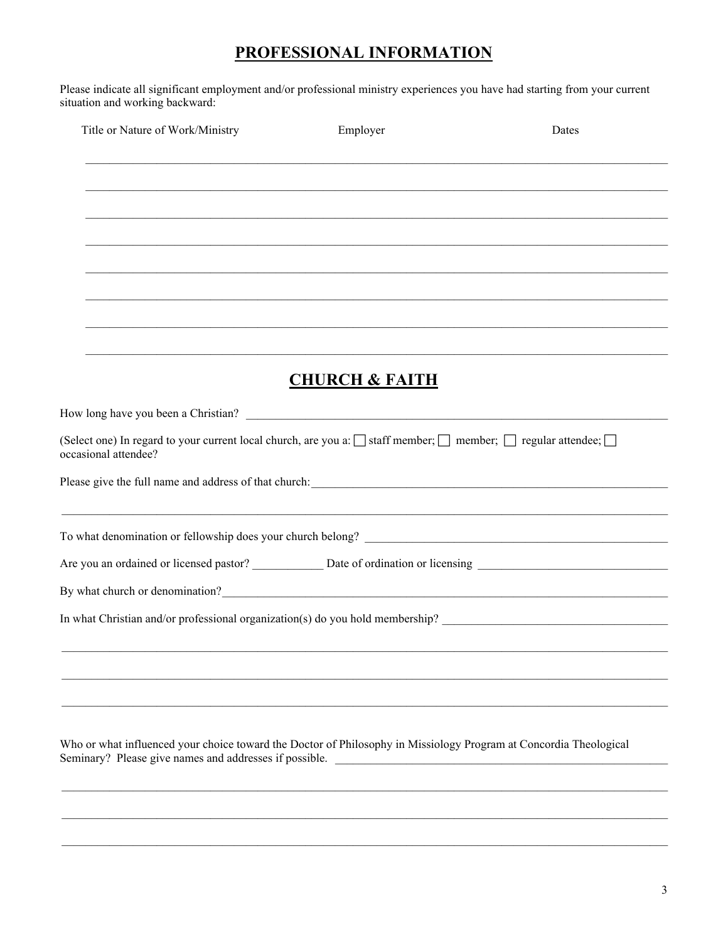## PROFESSIONAL INFORMATION

Please indicate all significant employment and/or professional ministry experiences you have had starting from your current situation and working backward:

| Title or Nature of Work/Ministry                                                                                                                                                                                                       | Employer                  | Dates |
|----------------------------------------------------------------------------------------------------------------------------------------------------------------------------------------------------------------------------------------|---------------------------|-------|
|                                                                                                                                                                                                                                        |                           |       |
|                                                                                                                                                                                                                                        |                           |       |
|                                                                                                                                                                                                                                        |                           |       |
|                                                                                                                                                                                                                                        |                           |       |
|                                                                                                                                                                                                                                        |                           |       |
|                                                                                                                                                                                                                                        |                           |       |
|                                                                                                                                                                                                                                        |                           |       |
|                                                                                                                                                                                                                                        |                           |       |
|                                                                                                                                                                                                                                        |                           |       |
|                                                                                                                                                                                                                                        | <b>CHURCH &amp; FAITH</b> |       |
|                                                                                                                                                                                                                                        |                           |       |
| (Select one) In regard to your current local church, are you a: $\Box$ staff member; $\Box$ member; $\Box$ regular attendee; $\Box$<br>occasional attendee?                                                                            |                           |       |
|                                                                                                                                                                                                                                        |                           |       |
|                                                                                                                                                                                                                                        |                           |       |
|                                                                                                                                                                                                                                        |                           |       |
|                                                                                                                                                                                                                                        |                           |       |
| By what church or denomination?<br><u>Letter and the contract of the contract of the contract of the contract of the contract of the contract of the contract of the contract of the contract of the contract of the contract of t</u> |                           |       |
|                                                                                                                                                                                                                                        |                           |       |
|                                                                                                                                                                                                                                        |                           |       |
|                                                                                                                                                                                                                                        |                           |       |
|                                                                                                                                                                                                                                        |                           |       |
|                                                                                                                                                                                                                                        |                           |       |
|                                                                                                                                                                                                                                        |                           |       |
| Who or what influenced your choice toward the Doctor of Philosophy in Missiology Program at Concordia Theological                                                                                                                      |                           |       |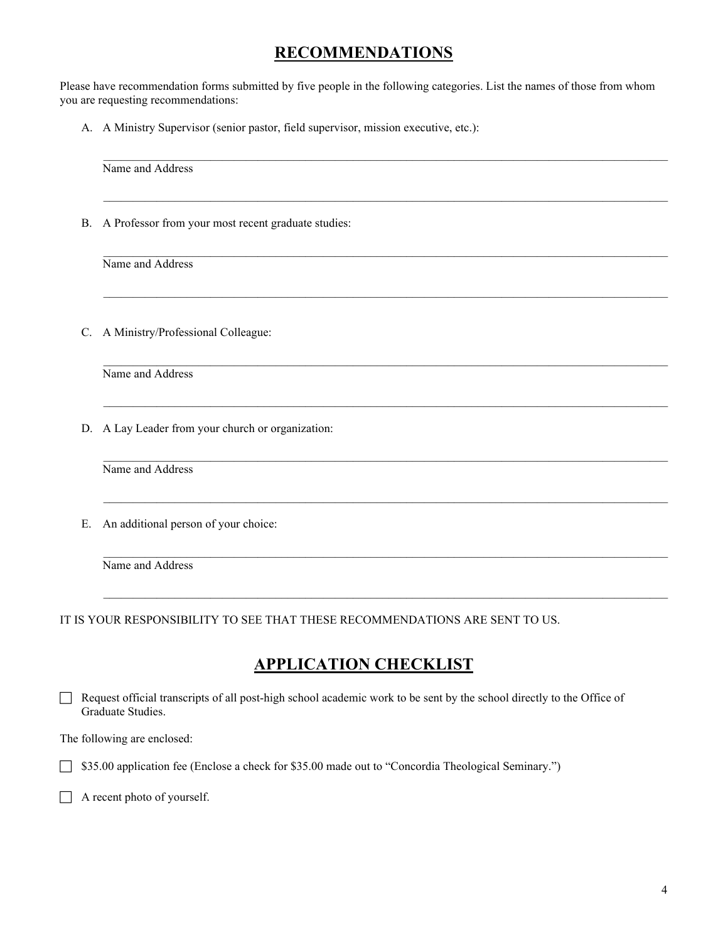#### **RECOMMENDATIONS**

Please have recommendation forms submitted by five people in the following categories. List the names of those from whom you are requesting recommendations:

A. A Ministry Supervisor (senior pastor, field supervisor, mission executive, etc.):

| <b>B.</b> | A Professor from your most recent graduate studies: |  |  |  |
|-----------|-----------------------------------------------------|--|--|--|
|           | Name and Address                                    |  |  |  |
|           | C. A Ministry/Professional Colleague:               |  |  |  |
|           | Name and Address                                    |  |  |  |
|           | D. A Lay Leader from your church or organization:   |  |  |  |
|           | Name and Address                                    |  |  |  |
| Ε.        | An additional person of your choice:                |  |  |  |
|           | Name and Address                                    |  |  |  |

#### **APPLICATION CHECKLIST**

 Request official transcripts of all post-high school academic work to be sent by the school directly to the Office of Graduate Studies.

The following are enclosed:

**S35.00** application fee (Enclose a check for \$35.00 made out to "Concordia Theological Seminary.")

A recent photo of yourself.